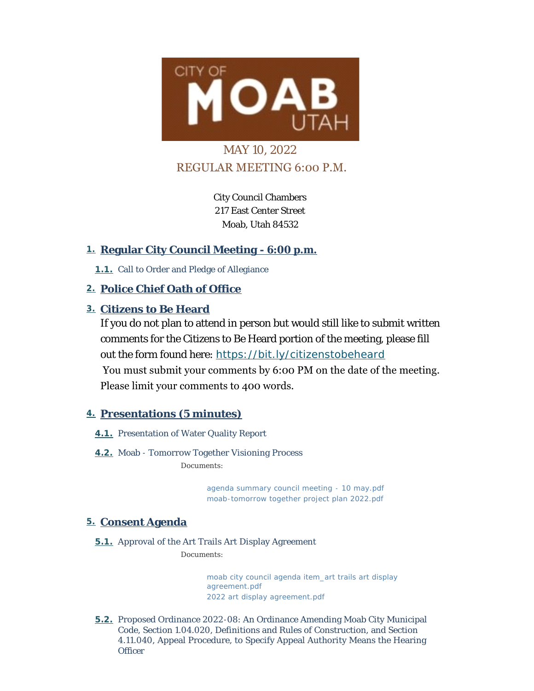

# MAY 10, 2022 REGULAR MEETING 6:00 P.M.

City Council Chambers 217 East Center Street Moab, Utah 84532

# **Regular City Council Meeting - 6:00 p.m. 1.**

1.1. Call to Order and Pledge of Allegiance

# **Police Chief Oath of Office 2.**

# **Citizens to Be Heard 3.**

If you do not plan to attend in person but would still like to submit written comments for the Citizens to Be Heard portion of the meeting, please fill out the form found here: *<https://bit.ly/citizenstobeheard>* You must submit your comments by 6:00 PM on the date of the meeting. Please limit your comments to 400 words.

# **Presentations (5 minutes) 4.**

- **4.1.** Presentation of Water Quality Report
- **4.2.** Moab Tomorrow Together Visioning Process *Documents:*

*[agenda summary council meeting - 10 may.pdf](https://moabcity.org/AgendaCenter/ViewFile/Item/4870?fileID=5871) [moab-tomorrow together project plan 2022.pdf](https://moabcity.org/AgendaCenter/ViewFile/Item/4870?fileID=5872)*

# **Consent Agenda 5.**

**5.1.** Approval of the Art Trails Art Display Agreement

*Documents:*

*[moab city council agenda item\\_art trails art display](https://moabcity.org/AgendaCenter/ViewFile/Item/4869?fileID=5867)  agreement.pdf [2022 art display agreement.pdf](https://moabcity.org/AgendaCenter/ViewFile/Item/4869?fileID=5868)*

**5.2.** Proposed Ordinance 2022-08: An Ordinance Amending Moab City Municipal Code, Section 1.04.020, Definitions and Rules of Construction, and Section 4.11.040, Appeal Procedure, to Specify Appeal Authority Means the Hearing **Officer**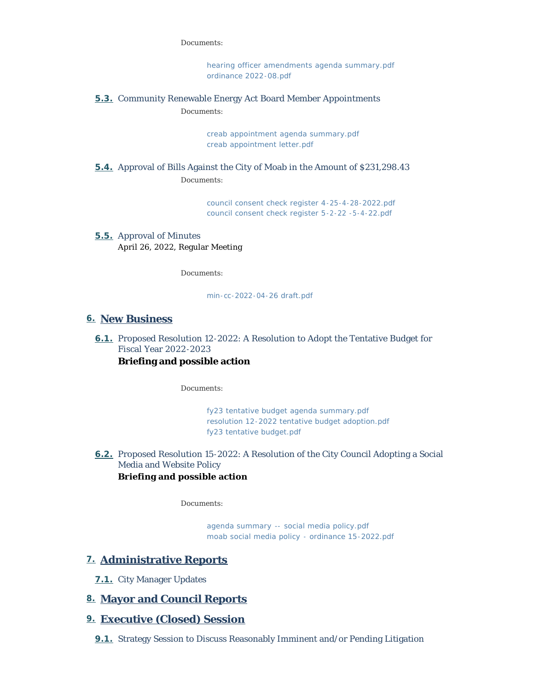#### *Documents:*

*[hearing officer amendments agenda summary.pdf](https://moabcity.org/AgendaCenter/ViewFile/Item/4871?fileID=5882) [ordinance 2022-08.pdf](https://moabcity.org/AgendaCenter/ViewFile/Item/4871?fileID=5874)*

#### **5.3.** Community Renewable Energy Act Board Member Appointments *Documents:*

*[creab appointment agenda summary.pdf](https://moabcity.org/AgendaCenter/ViewFile/Item/4872?fileID=5875) [creab appointment letter.pdf](https://moabcity.org/AgendaCenter/ViewFile/Item/4872?fileID=5876)*

### **5.4.** Approval of Bills Against the City of Moab in the Amount of \$231,298.43 *Documents:*

*[council consent check register 4-25-4-28-2022.pdf](https://moabcity.org/AgendaCenter/ViewFile/Item/4857?fileID=5869) [council consent check register 5-2-22 -5-4-22.pdf](https://moabcity.org/AgendaCenter/ViewFile/Item/4857?fileID=5870)*

#### **5.5.** Approval of Minutes April 26, 2022, Regular Meeting

*Documents:*

*[min-cc-2022-04-26 draft.pdf](https://moabcity.org/AgendaCenter/ViewFile/Item/4849?fileID=5866)*

#### **New Business 6.**

6.1. Proposed Resolution 12-2022: A Resolution to Adopt the Tentative Budget for Fiscal Year 2022-2023

#### **Briefing and possible action**

*Documents:*

*[fy23 tentative budget agenda summary.pdf](https://moabcity.org/AgendaCenter/ViewFile/Item/4875?fileID=5879) [resolution 12-2022 tentative budget adoption.pdf](https://moabcity.org/AgendaCenter/ViewFile/Item/4875?fileID=5880) [fy23 tentative budget.pdf](https://moabcity.org/AgendaCenter/ViewFile/Item/4875?fileID=5881)*

6.2. Proposed Resolution 15-2022: A Resolution of the City Council Adopting a Social Media and Website Policy **Briefing and possible action**

*Documents:*

*[agenda summary -- social media policy.pdf](https://moabcity.org/AgendaCenter/ViewFile/Item/4873?fileID=5877) [moab social media policy - ordinance 15-2022.pdf](https://moabcity.org/AgendaCenter/ViewFile/Item/4873?fileID=5878)*

### **Administrative Reports 7.**

**7.1.** City Manager Updates

### **Mayor and Council Reports 8.**

### **Executive (Closed) Session 9.**

**9.1.** Strategy Session to Discuss Reasonably Imminent and/or Pending Litigation